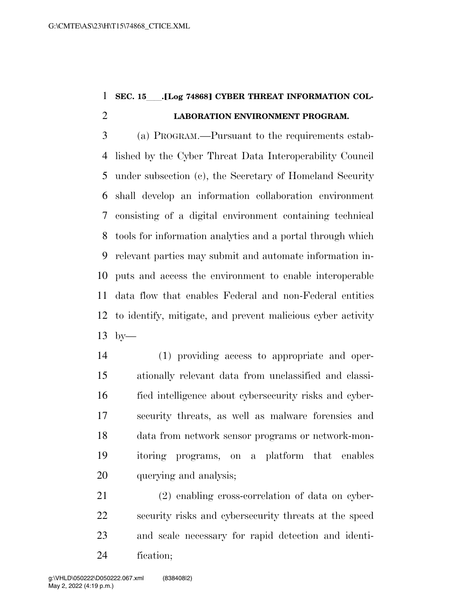## **SEC. 15** . [Log 74868] CYBER THREAT INFORMATION COL-**LABORATION ENVIRONMENT PROGRAM.**

 (a) PROGRAM.—Pursuant to the requirements estab- lished by the Cyber Threat Data Interoperability Council under subsection (c), the Secretary of Homeland Security shall develop an information collaboration environment consisting of a digital environment containing technical tools for information analytics and a portal through which relevant parties may submit and automate information in- puts and access the environment to enable interoperable data flow that enables Federal and non-Federal entities to identify, mitigate, and prevent malicious cyber activity by—

 (1) providing access to appropriate and oper- ationally relevant data from unclassified and classi- fied intelligence about cybersecurity risks and cyber- security threats, as well as malware forensics and data from network sensor programs or network-mon- itoring programs, on a platform that enables querying and analysis;

 (2) enabling cross-correlation of data on cyber- security risks and cybersecurity threats at the speed and scale necessary for rapid detection and identi-fication;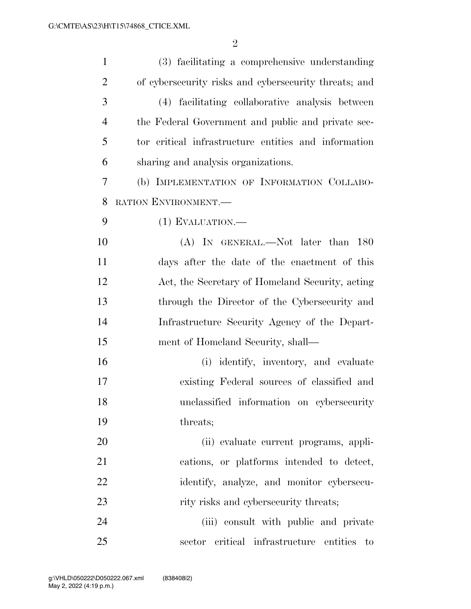| $\mathbf{1}$   | (3) facilitating a comprehensive understanding        |
|----------------|-------------------------------------------------------|
| $\overline{2}$ | of cybersecurity risks and cybersecurity threats; and |
| 3              | (4) facilitating collaborative analysis between       |
| $\overline{4}$ | the Federal Government and public and private sec-    |
| 5              | tor critical infrastructure entities and information  |
| 6              | sharing and analysis organizations.                   |
| 7              | (b) IMPLEMENTATION OF INFORMATION COLLABO-            |
| 8              | RATION ENVIRONMENT.                                   |
| 9              | $(1)$ EVALUATION.—                                    |
| 10             | (A) IN GENERAL.—Not later than 180                    |
| 11             | days after the date of the enactment of this          |
| 12             | Act, the Secretary of Homeland Security, acting       |
| 13             | through the Director of the Cybersecurity and         |
| 14             | Infrastructure Security Agency of the Depart-         |
| 15             | ment of Homeland Security, shall—                     |
| 16             | (i) identify, inventory, and evaluate                 |
| 17             | existing Federal sources of classified and            |
| 18             | unclassified information on cybersecurity             |
| 19             | threats;                                              |
| 20             | (ii) evaluate current programs, appli-                |
| 21             | cations, or platforms intended to detect,             |
| 22             | identify, analyze, and monitor cybersecu-             |
| 23             | rity risks and cybers ecurity threats;                |
| 24             | (iii) consult with public and private                 |
| 25             | sector critical infrastructure<br>entities<br>to      |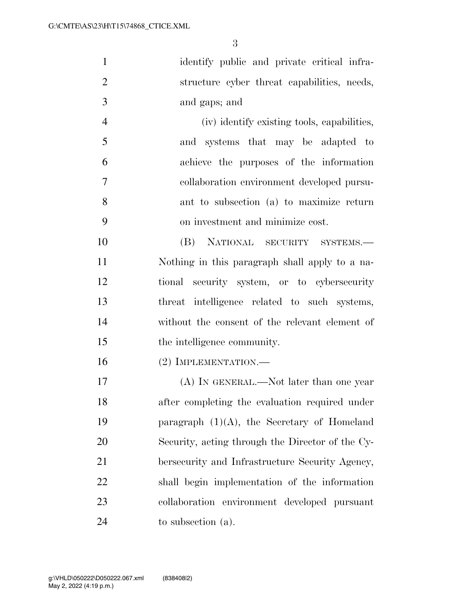|   | identify public and private critical infra- |
|---|---------------------------------------------|
|   | structure cyber threat capabilities, needs, |
| 3 | and gaps; and                               |

 (iv) identify existing tools, capabilities, and systems that may be adapted to achieve the purposes of the information collaboration environment developed pursu- ant to subsection (a) to maximize return on investment and minimize cost.

 (B) NATIONAL SECURITY SYSTEMS.— Nothing in this paragraph shall apply to a na- tional security system, or to cybersecurity threat intelligence related to such systems, without the consent of the relevant element of the intelligence community.

(2) IMPLEMENTATION.—

17 (A) IN GENERAL.—Not later than one year after completing the evaluation required under paragraph (1)(A), the Secretary of Homeland Security, acting through the Director of the Cy- bersecurity and Infrastructure Security Agency, shall begin implementation of the information collaboration environment developed pursuant to subsection (a).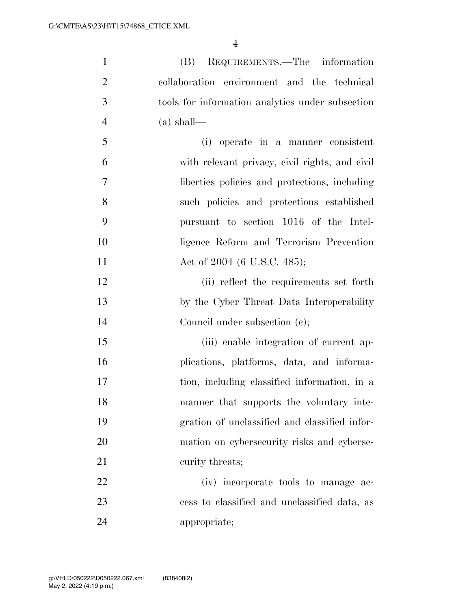| $\mathbf{1}$   | (B) REQUIREMENTS.—The information                |
|----------------|--------------------------------------------------|
| $\overline{2}$ | collaboration environment and the technical      |
| 3              | tools for information analytics under subsection |
| $\overline{4}$ | $(a)$ shall—                                     |
| 5              | (i) operate in a manner consistent               |
| 6              | with relevant privacy, civil rights, and civil   |
| 7              | liberties policies and protections, including    |
| 8              | such policies and protections established        |
| 9              | pursuant to section 1016 of the Intel-           |
| 10             | ligence Reform and Terrorism Prevention          |
| 11             | Act of 2004 (6 U.S.C. 485);                      |
| 12             | (ii) reflect the requirements set forth          |
| 13             | by the Cyber Threat Data Interoperability        |
| 14             | Council under subsection (c);                    |
| 15             | (iii) enable integration of current ap-          |
| 16             | plications, platforms, data, and informa-        |
| 17             | tion, including classified information, in a     |
| 18             | manner that supports the voluntary inte-         |
| 19             | gration of unclassified and classified infor-    |
| 20             | mation on cybersecurity risks and cyberse-       |
| 21             | curity threats;                                  |
| 22             | (iv) incorporate tools to manage ac-             |
| 23             | cess to classified and unclassified data, as     |
| 24             | appropriate;                                     |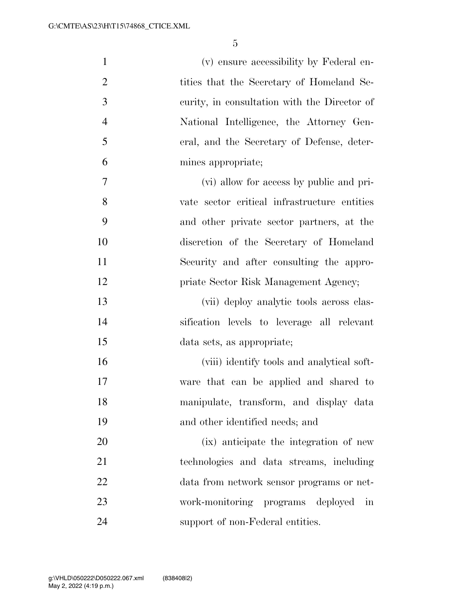| $\mathbf{1}$   | (v) ensure accessibility by Federal en-                  |
|----------------|----------------------------------------------------------|
| $\overline{2}$ | tities that the Secretary of Homeland Se-                |
| 3              | curity, in consultation with the Director of             |
| $\overline{4}$ | National Intelligence, the Attorney Gen-                 |
| 5              | eral, and the Secretary of Defense, deter-               |
| 6              | mines appropriate;                                       |
| $\tau$         | (vi) allow for access by public and pri-                 |
| 8              | vate sector critical infrastructure entities             |
| 9              | and other private sector partners, at the                |
| 10             | discretion of the Secretary of Homeland                  |
| 11             | Security and after consulting the appro-                 |
| 12             | priate Sector Risk Management Agency;                    |
| 13             | (vii) deploy analytic tools across clas-                 |
| 14             | sification levels to leverage all relevant               |
| 15             | data sets, as appropriate;                               |
| 16             | (viii) identify tools and analytical soft-               |
| 17             | ware that can be applied and shared to                   |
| 18             | manipulate, transform, and display data                  |
| 19             | and other identified needs; and                          |
| 20             | (ix) anticipate the integration of new                   |
| 21             | technologies and data streams, including                 |
| 22             | data from network sensor programs or net-                |
| 23             | work-monitoring programs deployed<br>$\operatorname{in}$ |
| 24             | support of non-Federal entities.                         |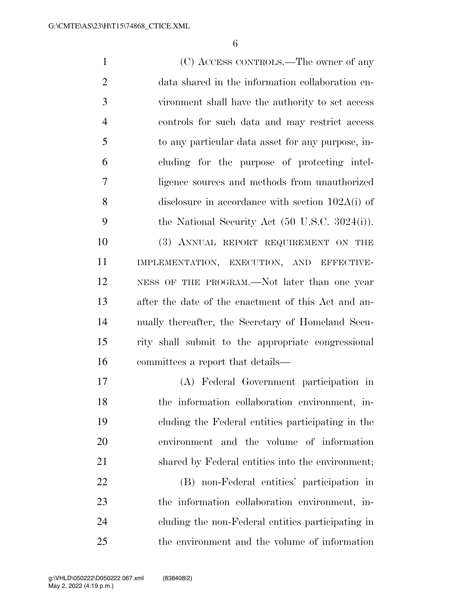(C) ACCESS CONTROLS.—The owner of any data shared in the information collaboration en- vironment shall have the authority to set access controls for such data and may restrict access to any particular data asset for any purpose, in- cluding for the purpose of protecting intel- ligence sources and methods from unauthorized disclosure in accordance with section 102A(i) of the National Security Act (50 U.S.C. 3024(i)). (3) ANNUAL REPORT REQUIREMENT ON THE IMPLEMENTATION, EXECUTION, AND EFFECTIVE- NESS OF THE PROGRAM.—Not later than one year after the date of the enactment of this Act and an- nually thereafter, the Secretary of Homeland Secu- rity shall submit to the appropriate congressional committees a report that details— (A) Federal Government participation in the information collaboration environment, in- cluding the Federal entities participating in the environment and the volume of information shared by Federal entities into the environment; (B) non-Federal entities' participation in the information collaboration environment, in-

cluding the non-Federal entities participating in

the environment and the volume of information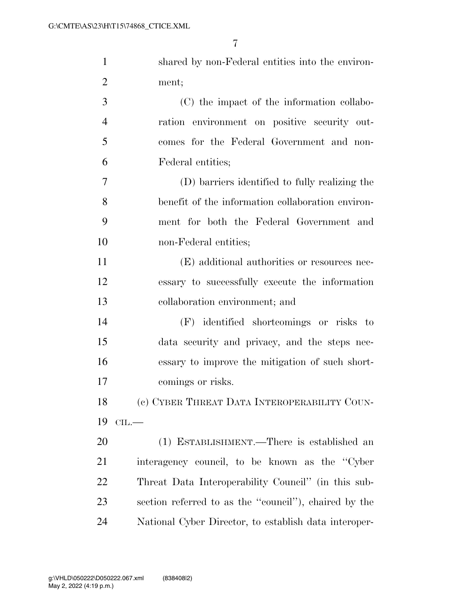| $\mathbf{1}$   | shared by non-Federal entities into the environ-      |
|----------------|-------------------------------------------------------|
| $\overline{2}$ | ment;                                                 |
| 3              | (C) the impact of the information collabo-            |
| $\overline{4}$ | ration environment on positive security out-          |
| 5              | comes for the Federal Government and non-             |
| 6              | Federal entities;                                     |
| 7              | (D) barriers identified to fully realizing the        |
| 8              | benefit of the information collaboration environ-     |
| 9              | ment for both the Federal Government and              |
| 10             | non-Federal entities;                                 |
| 11             | (E) additional authorities or resources nec-          |
| 12             | essary to successfully execute the information        |
| 13             | collaboration environment; and                        |
| 14             | (F) identified shortcomings or risks to               |
| 15             | data security and privacy, and the steps nec-         |
| 16             | essary to improve the mitigation of such short-       |
| 17             | comings or risks.                                     |
| 18             | (c) CYBER THREAT DATA INTEROPERABILITY COUN-          |
| 19             | $CLL$ .                                               |
| 20             | (1) ESTABLISHMENT.—There is established an            |
| 21             | interagency council, to be known as the "Cyber"       |
| 22             | Threat Data Interoperability Council" (in this sub-   |
| 23             | section referred to as the "council"), chaired by the |
| 24             | National Cyber Director, to establish data interoper- |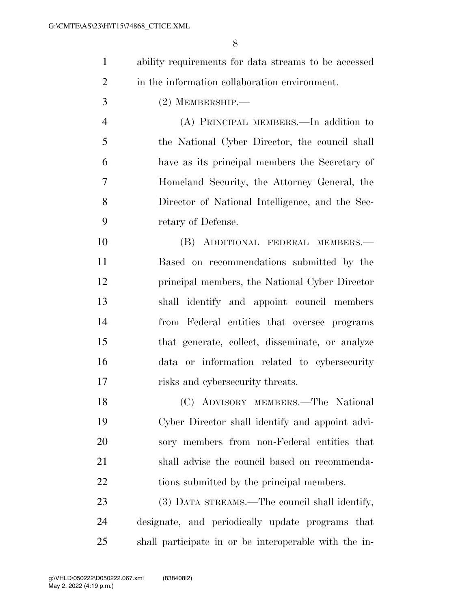|   | ability requirements for data streams to be accessed |
|---|------------------------------------------------------|
| 2 | in the information collaboration environment.        |
|   |                                                      |

(2) MEMBERSHIP.—

 (A) PRINCIPAL MEMBERS.—In addition to the National Cyber Director, the council shall have as its principal members the Secretary of Homeland Security, the Attorney General, the Director of National Intelligence, and the Sec-retary of Defense.

 (B) ADDITIONAL FEDERAL MEMBERS.— Based on recommendations submitted by the principal members, the National Cyber Director shall identify and appoint council members from Federal entities that oversee programs that generate, collect, disseminate, or analyze data or information related to cybersecurity risks and cybersecurity threats.

 (C) ADVISORY MEMBERS.—The National Cyber Director shall identify and appoint advi- sory members from non-Federal entities that shall advise the council based on recommenda-22 tions submitted by the principal members.

23 (3) DATA STREAMS.—The council shall identify, designate, and periodically update programs that shall participate in or be interoperable with the in-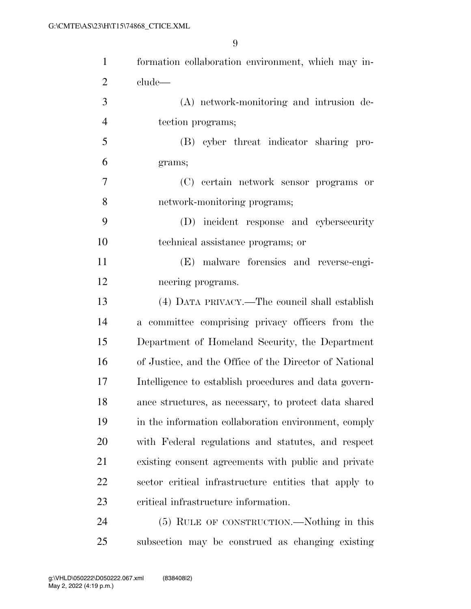| $\mathbf{1}$   | formation collaboration environment, which may in-     |
|----------------|--------------------------------------------------------|
| $\overline{2}$ | clude                                                  |
| 3              | (A) network-monitoring and intrusion de-               |
| $\overline{4}$ | tection programs;                                      |
| 5              | (B) cyber threat indicator sharing pro-                |
| 6              | grams;                                                 |
| $\overline{7}$ | (C) certain network sensor programs or                 |
| 8              | network-monitoring programs;                           |
| 9              | (D) incident response and cybersecurity                |
| 10             | technical assistance programs; or                      |
| 11             | (E) malware forensics and reverse-engi-                |
| 12             | neering programs.                                      |
| 13             | (4) DATA PRIVACY.—The council shall establish          |
| 14             | a committee comprising privacy officers from the       |
| 15             | Department of Homeland Security, the Department        |
| 16             | of Justice, and the Office of the Director of National |
| 17             | Intelligence to establish procedures and data govern-  |
| 18             | ance structures, as necessary, to protect data shared  |
| 19             | in the information collaboration environment, comply   |
| 20             | with Federal regulations and statutes, and respect     |
| 21             | existing consent agreements with public and private    |
| 22             | sector critical infrastructure entities that apply to  |
| 23             | critical infrastructure information.                   |
| 24             | (5) RULE OF CONSTRUCTION.—Nothing in this              |
| 25             | subsection may be construed as changing existing       |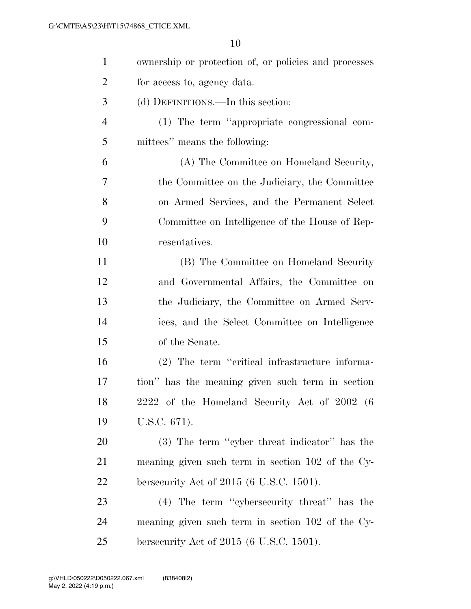| $\mathbf{1}$   | ownership or protection of, or policies and processes |
|----------------|-------------------------------------------------------|
| $\overline{2}$ | for access to, agency data.                           |
| 3              | (d) DEFINITIONS.—In this section:                     |
| $\overline{4}$ | (1) The term "appropriate congressional com-          |
| 5              | mittees" means the following:                         |
| 6              | (A) The Committee on Homeland Security,               |
| 7              | the Committee on the Judiciary, the Committee         |
| 8              | on Armed Services, and the Permanent Select           |
| 9              | Committee on Intelligence of the House of Rep-        |
| 10             | resentatives.                                         |
| 11             | (B) The Committee on Homeland Security                |
| 12             | and Governmental Affairs, the Committee on            |
| 13             | the Judiciary, the Committee on Armed Serv-           |
| 14             | ices, and the Select Committee on Intelligence        |
| 15             | of the Senate.                                        |
| 16             | (2) The term "critical infrastructure informa-        |
| 17             | tion" has the meaning given such term in section      |
| 18             | 2222 of the Homeland Security Act of 2002 (6          |
| 19             | U.S.C. 671).                                          |
| 20             | $(3)$ The term "cyber threat indicator" has the       |
| 21             | meaning given such term in section 102 of the Cy-     |
| 22             | bersecurity Act of $2015$ (6 U.S.C. 1501).            |
| 23             | (4) The term "cybersecurity threat" has the           |
| 24             | meaning given such term in section 102 of the Cy-     |
| 25             | bersecurity Act of $2015$ (6 U.S.C. 1501).            |